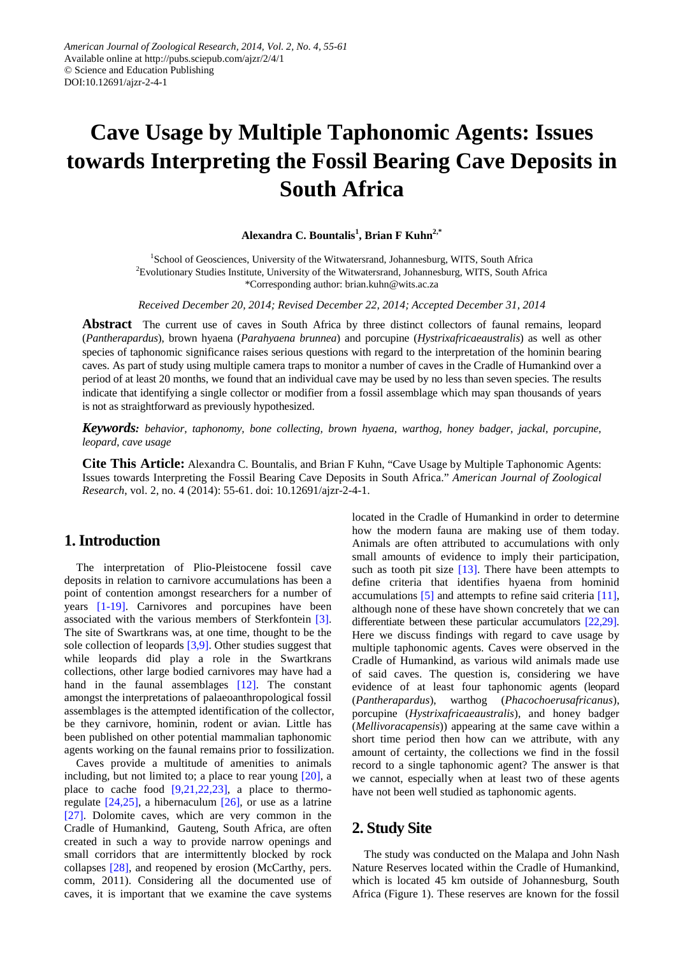# **Cave Usage by Multiple Taphonomic Agents: Issues towards Interpreting the Fossil Bearing Cave Deposits in South Africa**

**Alexandra C. Bountalis1 , Brian F Kuhn2,\***

<sup>1</sup>School of Geosciences, University of the Witwatersrand, Johannesburg, WITS, South Africa <sup>2</sup> Evolutionary Studies Institute, University of the Witwatersrand, Johannesburg, WITS, South Africa \*Corresponding author: brian.kuhn@wits.ac.za

*Received December 20, 2014; Revised December 22, 2014; Accepted December 31, 2014*

**Abstract** The current use of caves in South Africa by three distinct collectors of faunal remains, leopard (*Pantherapardus*), brown hyaena (*Parahyaena brunnea*) and porcupine (*Hystrixafricaeaustralis*) as well as other species of taphonomic significance raises serious questions with regard to the interpretation of the hominin bearing caves. As part of study using multiple camera traps to monitor a number of caves in the Cradle of Humankind over a period of at least 20 months, we found that an individual cave may be used by no less than seven species. The results indicate that identifying a single collector or modifier from a fossil assemblage which may span thousands of years is not as straightforward as previously hypothesized.

*Keywords: behavior, taphonomy, bone collecting, brown hyaena, warthog, honey badger, jackal, porcupine, leopard, cave usage*

**Cite This Article:** Alexandra C. Bountalis, and Brian F Kuhn, "Cave Usage by Multiple Taphonomic Agents: Issues towards Interpreting the Fossil Bearing Cave Deposits in South Africa." *American Journal of Zoological Research*, vol. 2, no. 4 (2014): 55-61. doi: 10.12691/ajzr-2-4-1.

# **1. Introduction**

The interpretation of Plio-Pleistocene fossil cave deposits in relation to carnivore accumulations has been a point of contention amongst researchers for a number of years [\[1-19\].](#page-4-0) Carnivores and porcupines have been associated with the various members of Sterkfontein [\[3\].](#page-5-0) The site of Swartkrans was, at one time, thought to be the sole collection of leopard[s \[3,9\].](#page-5-0) Other studies suggest that while leopards did play a role in the Swartkrans collections, other large bodied carnivores may have had a hand in the faunal assemblages [\[12\].](#page-5-1) The constant amongst the interpretations of palaeoanthropological fossil assemblages is the attempted identification of the collector, be they carnivore, hominin, rodent or avian. Little has been published on other potential mammalian taphonomic agents working on the faunal remains prior to fossilization.

Caves provide a multitude of amenities to animals including, but not limited to; a place to rear young [\[20\],](#page-5-2) a place to cache food  $[9,21,22,23]$ , a place to thermoregulate  $[24,25]$ , a hibernaculum  $[26]$ , or use as a latrine [\[27\].](#page-5-6) Dolomite caves, which are very common in the Cradle of Humankind, Gauteng, South Africa, are often created in such a way to provide narrow openings and small corridors that are intermittently blocked by rock collapses [\[28\],](#page-5-7) and reopened by erosion (McCarthy, pers. comm, 2011). Considering all the documented use of caves, it is important that we examine the cave systems located in the Cradle of Humankind in order to determine how the modern fauna are making use of them today. Animals are often attributed to accumulations with only small amounts of evidence to imply their participation, such as tooth pit size [\[13\].](#page-5-8) There have been attempts to define criteria that identifies hyaena from hominid accumulations [\[5\]](#page-5-9) and attempts to refine said criteria [\[11\],](#page-5-10) although none of these have shown concretely that we can differentiate between these particular accumulators [\[22,29\].](#page-5-11) Here we discuss findings with regard to cave usage by multiple taphonomic agents. Caves were observed in the Cradle of Humankind, as various wild animals made use of said caves. The question is, considering we have evidence of at least four taphonomic agents (leopard (*Pantherapardus*), warthog (*Phacochoerusafricanus*), porcupine (*Hystrixafricaeaustralis*), and honey badger (*Mellivoracapensis*)) appearing at the same cave within a short time period then how can we attribute, with any amount of certainty, the collections we find in the fossil record to a single taphonomic agent? The answer is that we cannot, especially when at least two of these agents have not been well studied as taphonomic agents.

## **2. Study Site**

The study was conducted on the Malapa and John Nash Nature Reserves located within the Cradle of Humankind, which is located 45 km outside of Johannesburg, South Africa (Figure 1). These reserves are known for the fossil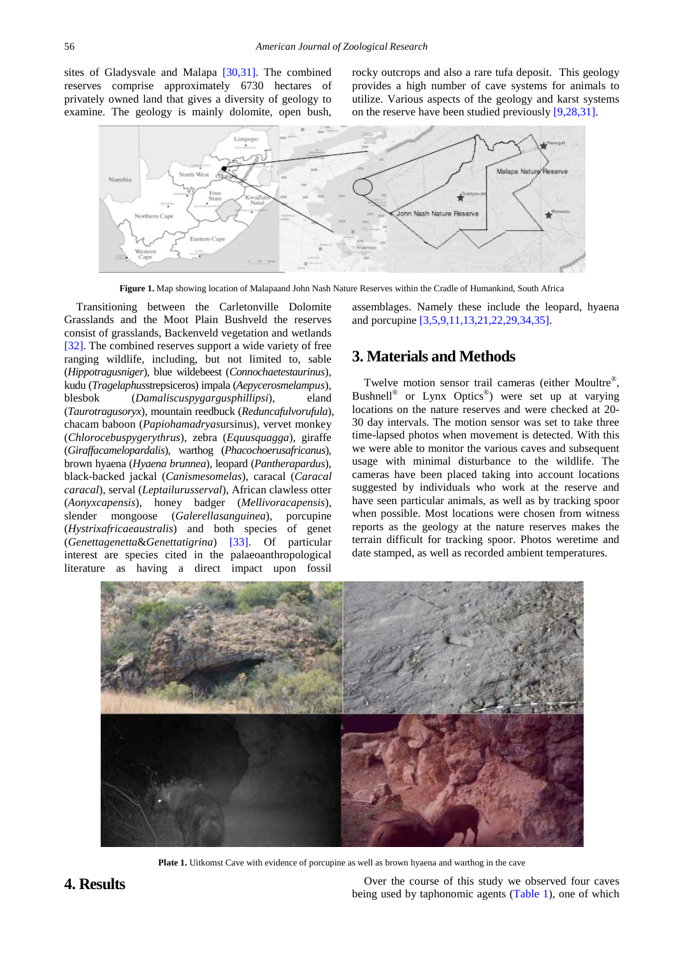sites of Gladysvale and Malapa [\[30,31\].](#page-5-12) The combined reserves comprise approximately 6730 hectares of privately owned land that gives a diversity of geology to examine. The geology is mainly dolomite, open bush,

rocky outcrops and also a rare tufa deposit. This geology provides a high number of cave systems for animals to utilize. Various aspects of the geology and karst systems on the reserve have been studied previousl[y \[9,28,31\].](#page-5-3) 



**Figure 1.** Map showing location of Malapaand John Nash Nature Reserves within the Cradle of Humankind, South Africa

Transitioning between the Carletonville Dolomite Grasslands and the Moot Plain Bushveld the reserves consist of grasslands, Backenveld vegetation and wetlands [\[32\].](#page-5-13) The combined reserves support a wide variety of free ranging wildlife, including, but not limited to, sable (*Hippotragusniger*), blue wildebeest (*Connochaetestaurinus*), kudu (*Tragelaphus*strepsiceros) impala (*Aepycerosmelampus*), blesbok (*Damaliscuspygargusphillipsi*), eland (*Taurotragusoryx*), mountain reedbuck (*Reduncafulvorufula*), chacam baboon (*Papiohamadryas*ursinus), vervet monkey (*Chlorocebuspygerythrus*), zebra (*Equusquagga*), giraffe (*Giraffacamelopardalis*), warthog (*Phacochoerusafricanus*), brown hyaena (*Hyaena brunnea*), leopard (*Pantherapardus*), black-backed jackal (*Canismesomelas*), caracal (*Caracal caracal*), serval (*Leptailurusserval*), African clawless otter (*Aonyxcapensis*), honey badger (*Mellivoracapensis*), slender mongoose (*Galerellasanguinea*), porcupine (*Hystrixafricaeaustralis*) and both species of genet (*Genettagenetta*&*Genettatigrina*) [\[33\].](#page-5-14) Of particular interest are species cited in the palaeoanthropological literature as having a direct impact upon fossil

assemblages. Namely these include the leopard, hyaena and porcupine [\[3,5,9,11,13,21,22,29,34,35\].](#page-5-0)

### **3. Materials and Methods**

Twelve motion sensor trail cameras (either Moultre<sup>®</sup>, Bushnell<sup>®</sup> or Lynx Optics<sup>®</sup>) were set up at varying locations on the nature reserves and were checked at 20- 30 day intervals. The motion sensor was set to take three time-lapsed photos when movement is detected. With this we were able to monitor the various caves and subsequent usage with minimal disturbance to the wildlife. The cameras have been placed taking into account locations suggested by individuals who work at the reserve and have seen particular animals, as well as by tracking spoor when possible. Most locations were chosen from witness reports as the geology at the nature reserves makes the terrain difficult for tracking spoor. Photos weretime and date stamped, as well as recorded ambient temperatures.



**Plate 1.** Uitkomst Cave with evidence of porcupine as well as brown hyaena and warthog in the cave

**4. Results** Over the course of this study we observed four caves being used by taphonomic agents [\(Table 1\)](#page-3-0), one of which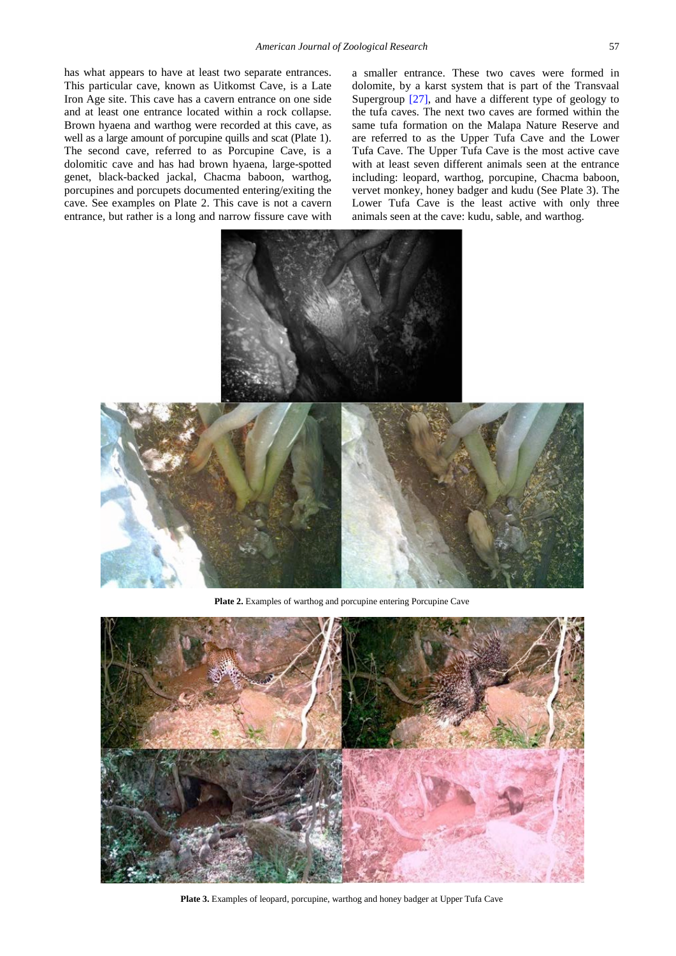has what appears to have at least two separate entrances. This particular cave, known as Uitkomst Cave, is a Late Iron Age site. This cave has a cavern entrance on one side and at least one entrance located within a rock collapse. Brown hyaena and warthog were recorded at this cave, as well as a large amount of porcupine quills and scat (Plate 1). The second cave, referred to as Porcupine Cave, is a dolomitic cave and has had brown hyaena, large-spotted genet, black-backed jackal, Chacma baboon, warthog, porcupines and porcupets documented entering/exiting the cave. See examples on Plate 2. This cave is not a cavern entrance, but rather is a long and narrow fissure cave with a smaller entrance. These two caves were formed in dolomite, by a karst system that is part of the Transvaal Supergroup [\[27\],](#page-5-6) and have a different type of geology to the tufa caves. The next two caves are formed within the same tufa formation on the Malapa Nature Reserve and are referred to as the Upper Tufa Cave and the Lower Tufa Cave. The Upper Tufa Cave is the most active cave with at least seven different animals seen at the entrance including: leopard, warthog, porcupine, Chacma baboon, vervet monkey, honey badger and kudu (See Plate 3). The Lower Tufa Cave is the least active with only three animals seen at the cave: kudu, sable, and warthog.



Plate 2. Examples of warthog and porcupine entering Porcupine Cave



**Plate 3.** Examples of leopard, porcupine, warthog and honey badger at Upper Tufa Cave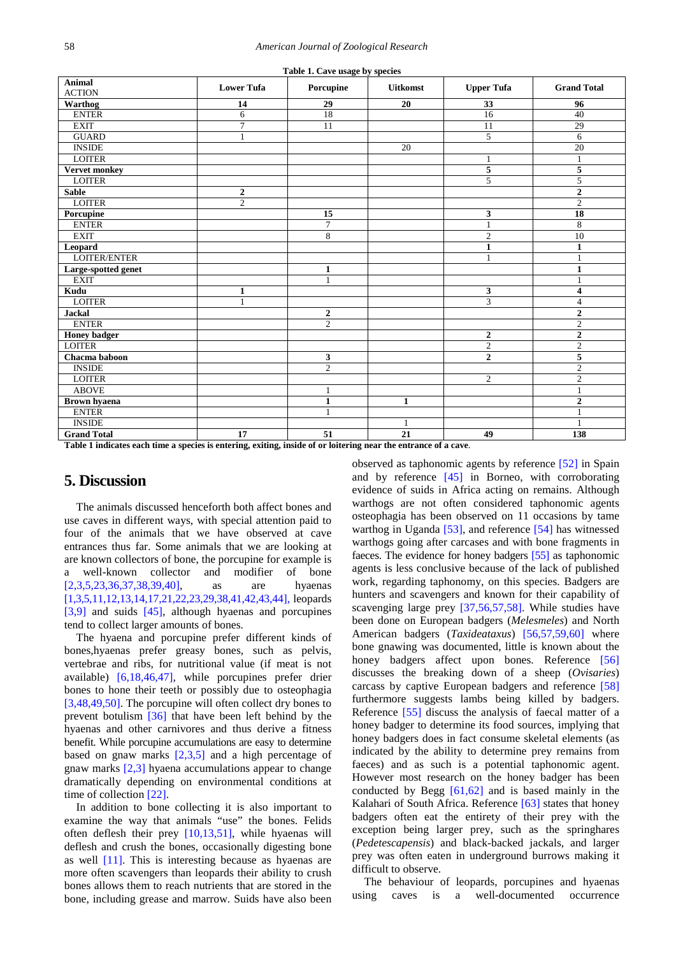<span id="page-3-0"></span>

| Table 1. Cave usage by species |                   |                |                 |                         |                    |
|--------------------------------|-------------------|----------------|-----------------|-------------------------|--------------------|
| <b>Animal</b><br><b>ACTION</b> | <b>Lower Tufa</b> | Porcupine      | <b>Uitkomst</b> | <b>Upper Tufa</b>       | <b>Grand Total</b> |
| Warthog                        | 14                | 29             | 20              | 33                      | 96                 |
| <b>ENTER</b>                   | 6                 | 18             |                 | 16                      | 40                 |
| <b>EXIT</b>                    | $\overline{7}$    | 11             |                 | 11                      | 29                 |
| <b>GUARD</b>                   | $\mathbf{1}$      |                |                 | 5                       | 6                  |
| <b>INSIDE</b>                  |                   |                | 20              |                         | 20                 |
| <b>LOITER</b>                  |                   |                |                 | $\mathbf{1}$            | $\mathbf{1}$       |
| <b>Vervet monkey</b>           |                   |                |                 | $\sqrt{5}$              | 5                  |
| <b>LOITER</b>                  |                   |                |                 | 5                       | 5                  |
| <b>Sable</b>                   | $\boldsymbol{2}$  |                |                 |                         | $\overline{2}$     |
| <b>LOITER</b>                  | $\overline{2}$    |                |                 |                         | $\mathbf{2}$       |
| Porcupine                      |                   | 15             |                 | 3                       | 18                 |
| <b>ENTER</b>                   |                   | $\overline{7}$ |                 | $\mathbf{1}$            | 8                  |
| <b>EXIT</b>                    |                   | 8              |                 | $\overline{2}$          | 10                 |
| Leopard                        |                   |                |                 | $\mathbf{1}$            | $\mathbf{1}$       |
| LOITER/ENTER                   |                   |                |                 | $\mathbf{1}$            | $\mathbf{1}$       |
| Large-spotted genet            |                   | $\mathbf{1}$   |                 |                         | $\mathbf{1}$       |
| <b>EXIT</b>                    |                   | $\mathbf{1}$   |                 |                         | $\mathbf{1}$       |
| Kudu                           | $\mathbf{1}$      |                |                 | $\overline{\mathbf{3}}$ | 4                  |
| <b>LOITER</b>                  | $\mathbf{1}$      |                |                 | 3                       | $\overline{4}$     |
| <b>Jackal</b>                  |                   | $\mathbf{2}$   |                 |                         | $\overline{2}$     |
| <b>ENTER</b>                   |                   | $\overline{c}$ |                 |                         | $\overline{2}$     |
| <b>Honey badger</b>            |                   |                |                 | $\overline{2}$          | $\mathbf{2}$       |
| <b>LOITER</b>                  |                   |                |                 | $\overline{2}$          | $\overline{2}$     |
| Chacma baboon                  |                   | 3              |                 | $\boldsymbol{2}$        | 5                  |
| <b>INSIDE</b>                  |                   | $\overline{2}$ |                 |                         | $\overline{2}$     |
| <b>LOITER</b>                  |                   |                |                 | 2                       | $\mathbf{2}$       |
| <b>ABOVE</b>                   |                   | 1              |                 |                         | $\mathbf{1}$       |
| <b>Brown</b> hyaena            |                   | $\mathbf{1}$   | $\mathbf{1}$    |                         | $\overline{2}$     |
| <b>ENTER</b>                   |                   |                |                 |                         | 1                  |
| <b>INSIDE</b>                  |                   |                |                 |                         | $\overline{1}$     |
| <b>Grand Total</b>             | 17                | 51             | 21              | 49                      | 138                |

**Table 1 indicates each time a species is entering, exiting, inside of or loitering near the entrance of a cave**.

#### **5. Discussion**

The animals discussed henceforth both affect bones and use caves in different ways, with special attention paid to four of the animals that we have observed at cave entrances thus far. Some animals that we are looking at are known collectors of bone, the porcupine for example is a well-known collector and modifier of bone [\[2,3,5,23,36,37,38,39,40\],](#page-4-1) as are hyaenas [\[1,3,5,11,12,13,14,17,21,22,23,29,38,41,42,43,44\],](#page-4-0) leopards [\[3,9\]](#page-5-0) and suids [\[45\],](#page-6-0) although hyaenas and porcupines tend to collect larger amounts of bones.

The hyaena and porcupine prefer different kinds of bones,hyaenas prefer greasy bones, such as pelvis, vertebrae and ribs, for nutritional value (if meat is not available) [\[6,18,46,47\],](#page-5-15) while porcupines prefer drier bones to hone their teeth or possibly due to osteophagia [\[3,48,49,50\].](#page-5-0) The porcupine will often collect dry bones to prevent botulism [\[36\]](#page-5-16) that have been left behind by the hyaenas and other carnivores and thus derive a fitness benefit. While porcupine accumulations are easy to determine based on gnaw marks  $[2,3,5]$  and a high percentage of gnaw marks [\[2,3\]](#page-4-1) hyaena accumulations appear to change dramatically depending on environmental conditions at time of collectio[n \[22\].](#page-5-11) 

In addition to bone collecting it is also important to examine the way that animals "use" the bones. Felids often deflesh their prey [\[10,13,51\],](#page-5-17) while hyaenas will deflesh and crush the bones, occasionally digesting bone as well [\[11\].](#page-5-10) This is interesting because as hyaenas are more often scavengers than leopards their ability to crush bones allows them to reach nutrients that are stored in the bone, including grease and marrow. Suids have also been observed as taphonomic agents by reference [\[52\]](#page-6-1) in Spain and by reference [\[45\]](#page-6-0) in Borneo, with corroborating evidence of suids in Africa acting on remains. Although warthogs are not often considered taphonomic agents osteophagia has been observed on 11 occasions by tame warthog in Uganda [\[53\],](#page-6-2) and reference [\[54\]](#page-6-3) has witnessed warthogs going after carcases and with bone fragments in faeces. The evidence for honey badgers [\[55\]](#page-6-4) as taphonomic agents is less conclusive because of the lack of published work, regarding taphonomy, on this species. Badgers are hunters and scavengers and known for their capability of scavenging large prey [\[37,56,57,58\].](#page-5-18) While studies have been done on European badgers (*Melesmeles*) and North American badgers (*Taxideataxus*) [\[56,57,59,60\]](#page-6-5) where bone gnawing was documented, little is known about the honey badgers affect upon bones. Reference [\[56\]](#page-6-5) discusses the breaking down of a sheep (*Ovisaries*) carcass by captive European badgers and reference [\[58\]](#page-6-6) furthermore suggests lambs being killed by badgers. Reference [\[55\]](#page-6-4) discuss the analysis of faecal matter of a honey badger to determine its food sources, implying that honey badgers does in fact consume skeletal elements (as indicated by the ability to determine prey remains from faeces) and as such is a potential taphonomic agent. However most research on the honey badger has been conducted by Begg [\[61,62\]](#page-6-7) and is based mainly in the Kalahari of South Africa. Reference [\[63\]](#page-6-8) states that honey badgers often eat the entirety of their prey with the exception being larger prey, such as the springhares (*Pedetescapensis*) and black-backed jackals, and larger prey was often eaten in underground burrows making it difficult to observe.

The behaviour of leopards, porcupines and hyaenas using caves is a well-documented occurrence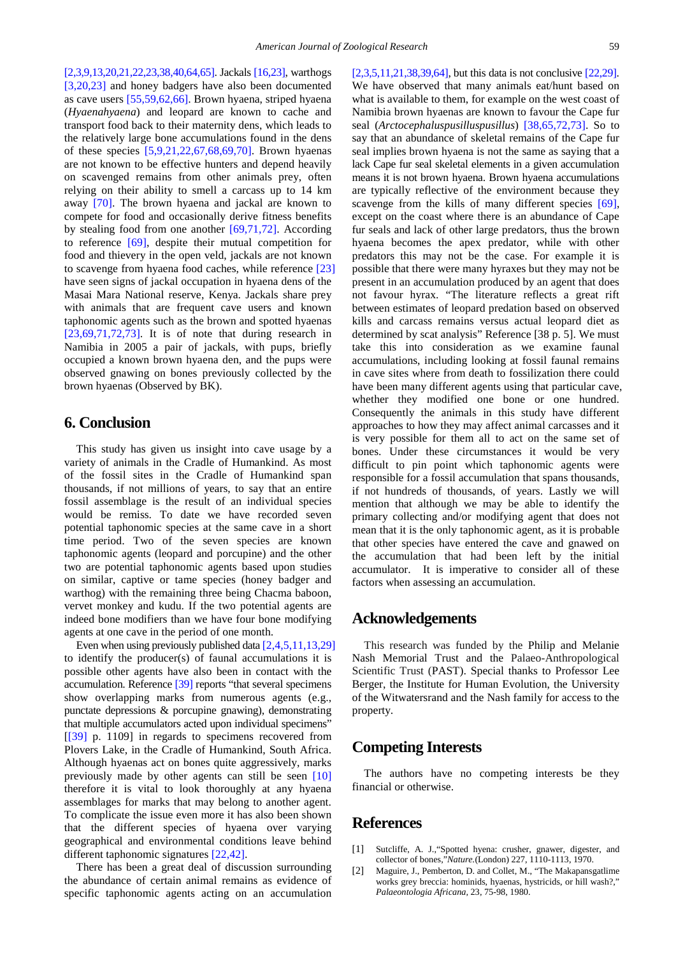[\[2,3,9,13,20,21,22,23,38,40,64,65\].](#page-4-1) Jackal[s \[16,23\],](#page-5-19) warthogs [\[3,20,23\]](#page-5-0) and honey badgers have also been documented as cave users [\[55,59,62,66\].](#page-6-4) Brown hyaena, striped hyaena (*Hyaenahyaena*) and leopard are known to cache and transport food back to their maternity dens, which leads to the relatively large bone accumulations found in the dens of these species [\[5,9,21,22,67,68,69,70\].](#page-5-9) Brown hyaenas are not known to be effective hunters and depend heavily on scavenged remains from other animals prey, often relying on their ability to smell a carcass up to 14 km away [\[70\].](#page-6-9) The brown hyaena and jackal are known to compete for food and occasionally derive fitness benefits by stealing food from one another  $[69,71,72]$ . According to reference [\[69\],](#page-6-10) despite their mutual competition for food and thievery in the open veld, jackals are not known to scavenge from hyaena food caches, while reference [\[23\]](#page-5-20) have seen signs of jackal occupation in hyaena dens of the Masai Mara National reserve, Kenya. Jackals share prey with animals that are frequent cave users and known taphonomic agents such as the brown and spotted hyaenas  $[23,69,71,72,73]$ . It is of note that during research in Namibia in 2005 a pair of jackals, with pups, briefly occupied a known brown hyaena den, and the pups were observed gnawing on bones previously collected by the brown hyaenas (Observed by BK).

## **6. Conclusion**

This study has given us insight into cave usage by a variety of animals in the Cradle of Humankind. As most of the fossil sites in the Cradle of Humankind span thousands, if not millions of years, to say that an entire fossil assemblage is the result of an individual species would be remiss. To date we have recorded seven potential taphonomic species at the same cave in a short time period. Two of the seven species are known taphonomic agents (leopard and porcupine) and the other two are potential taphonomic agents based upon studies on similar, captive or tame species (honey badger and warthog) with the remaining three being Chacma baboon, vervet monkey and kudu. If the two potential agents are indeed bone modifiers than we have four bone modifying agents at one cave in the period of one month.

Even when using previously published dat[a \[2,4,5,11,13,29\]](#page-4-1) to identify the producer(s) of faunal accumulations it is possible other agents have also been in contact with the accumulation. Reference [\[39\]](#page-5-21) reports "that several specimens show overlapping marks from numerous agents (e.g., punctate depressions & porcupine gnawing), demonstrating that multiple accumulators acted upon individual specimens" [\[\[39\]](#page-5-21) p. 1109] in regards to specimens recovered from Plovers Lake, in the Cradle of Humankind, South Africa. Although hyaenas act on bones quite aggressively, marks previously made by other agents can still be seen [\[10\]](#page-5-17) therefore it is vital to look thoroughly at any hyaena assemblages for marks that may belong to another agent. To complicate the issue even more it has also been shown that the different species of hyaena over varying geographical and environmental conditions leave behind different taphonomic signatures [\[22,42\].](#page-5-11)

There has been a great deal of discussion surrounding the abundance of certain animal remains as evidence of specific taphonomic agents acting on an accumulation [\[2,3,5,11,21,38,39,64\],](#page-4-1) but this data is not conclusiv[e \[22,29\].](#page-5-11) We have observed that many animals eat/hunt based on what is available to them, for example on the west coast of Namibia brown hyaenas are known to favour the Cape fur seal (*Arctocephaluspusilluspusillus*) [\[38,65,72,73\].](#page-5-22) So to say that an abundance of skeletal remains of the Cape fur seal implies brown hyaena is not the same as saying that a lack Cape fur seal skeletal elements in a given accumulation means it is not brown hyaena. Brown hyaena accumulations are typically reflective of the environment because they scavenge from the kills of many different species [\[69\],](#page-6-10) except on the coast where there is an abundance of Cape fur seals and lack of other large predators, thus the brown hyaena becomes the apex predator, while with other predators this may not be the case. For example it is possible that there were many hyraxes but they may not be present in an accumulation produced by an agent that does not favour hyrax. "The literature reflects a great rift between estimates of leopard predation based on observed kills and carcass remains versus actual leopard diet as determined by scat analysis" Reference [38 p. 5]. We must take this into consideration as we examine faunal accumulations, including looking at fossil faunal remains in cave sites where from death to fossilization there could have been many different agents using that particular cave, whether they modified one bone or one hundred. Consequently the animals in this study have different approaches to how they may affect animal carcasses and it is very possible for them all to act on the same set of bones. Under these circumstances it would be very difficult to pin point which taphonomic agents were responsible for a fossil accumulation that spans thousands, if not hundreds of thousands, of years. Lastly we will mention that although we may be able to identify the primary collecting and/or modifying agent that does not mean that it is the only taphonomic agent, as it is probable that other species have entered the cave and gnawed on the accumulation that had been left by the initial accumulator. It is imperative to consider all of these factors when assessing an accumulation.

#### **Acknowledgements**

This research was funded by the Philip and Melanie Nash Memorial Trust and the Palaeo-Anthropological Scientific Trust (PAST). Special thanks to Professor Lee Berger, the Institute for Human Evolution, the University of the Witwatersrand and the Nash family for access to the property.

#### **Competing Interests**

The authors have no competing interests be they financial or otherwise.

#### **References**

- <span id="page-4-0"></span>[1] Sutcliffe, A. J.,"Spotted hyena: crusher, gnawer, digester, and collector of bones,"*Nature.*(London) 227, 1110-1113, 1970.
- <span id="page-4-1"></span>[2] Maguire, J., Pemberton, D. and Collet, M., "The Makapansgatlime works grey breccia: hominids, hyaenas, hystricids, or hill wash?," *Palaeontologia Africana,* 23, 75-98, 1980.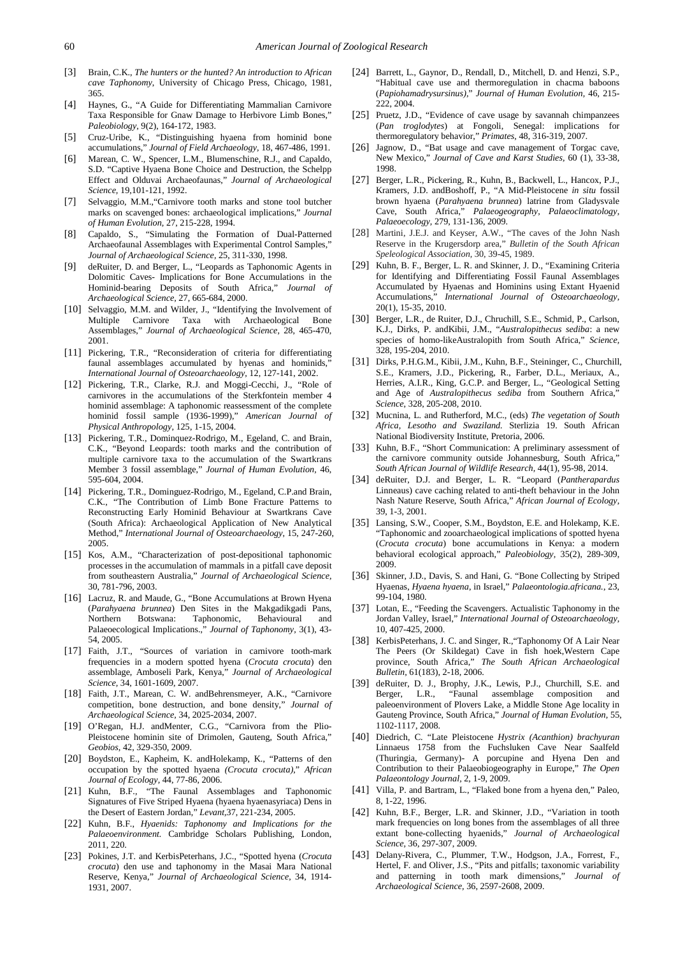- <span id="page-5-0"></span>[3] Brain, C.K., *The hunters or the hunted? An introduction to African cave Taphonomy*, University of Chicago Press, Chicago, 1981, 365.
- [4] Haynes, G., "A Guide for Differentiating Mammalian Carnivore Taxa Responsible for Gnaw Damage to Herbivore Limb Bones," *Paleobiology*, 9(2), 164-172, 1983.
- <span id="page-5-9"></span>[5] Cruz-Uribe, K., "Distinguishing hyaena from hominid bone accumulations," *Journal of Field Archaeology,* 18, 467-486, 1991.
- <span id="page-5-15"></span>[6] Marean, C. W., Spencer, L.M., Blumenschine, R.J., and Capaldo, S.D. "Captive Hyaena Bone Choice and Destruction, the Schelpp Effect and Olduvai Archaeofaunas," *Journal of Archaeological Science,* 19,101-121, 1992.
- [7] Selvaggio, M.M.,"Carnivore tooth marks and stone tool butcher marks on scavenged bones: archaeological implications," *Journal of Human Evolution,* 27, 215-228, 1994.
- [8] Capaldo, S., "Simulating the Formation of Dual-Patterned Archaeofaunal Assemblages with Experimental Control Samples," *Journal of Archaeological Science,* 25, 311-330, 1998.
- <span id="page-5-3"></span>[9] deRuiter, D. and Berger, L., "Leopards as Taphonomic Agents in Dolomitic Caves- Implications for Bone Accumulations in the Hominid-bearing Deposits of South Africa," *Journal of Archaeological Science,* 27, 665-684, 2000.
- <span id="page-5-17"></span>[10] Selvaggio, M.M. and Wilder, J., "Identifying the Involvement of Multiple Carnivore Taxa with Archaeological Bone Assemblages," *Journal of Archaeological Science,* 28, 465-470, 2001.
- <span id="page-5-10"></span>[11] Pickering, T.R., "Reconsideration of criteria for differentiating faunal assemblages accumulated by hyenas and hominids, *International Journal of Osteoarchaeology,* 12, 127-141, 2002.
- <span id="page-5-1"></span>[12] Pickering, T.R., Clarke, R.J. and Moggi-Cecchi, J., "Role of carnivores in the accumulations of the Sterkfontein member 4 hominid assemblage: A taphonomic reassessment of the complete hominid fossil sample (1936-1999)," *American Journal of Physical Anthropology,* 125, 1-15, 2004.
- <span id="page-5-8"></span>[13] Pickering, T.R., Dominquez-Rodrigo, M., Egeland, C. and Brain, C.K., "Beyond Leopards: tooth marks and the contribution of multiple carnivore taxa to the accumulation of the Swartkrans Member 3 fossil assemblage," *Journal of Human Evolution,* 46, 595-604, 2004.
- [14] Pickering, T.R., Dominguez-Rodrigo, M., Egeland, C.P.and Brain, C.K., "The Contribution of Limb Bone Fracture Patterns to Reconstructing Early Hominid Behaviour at Swartkrans Cave (South Africa): Archaeological Application of New Analytical Method," *International Journal of Osteoarchaeology*, 15, 247-260, 2005.
- [15] Kos, A.M., "Characterization of post-depositional taphonomic processes in the accumulation of mammals in a pitfall cave deposit from southeastern Australia," *Journal of Archaeological Science,*  30, 781-796, 2003.
- <span id="page-5-19"></span>[16] Lacruz, R. and Maude, G., "Bone Accumulations at Brown Hyena (*Parahyaena brunnea*) Den Sites in the Makgadikgadi Pans, Northern Botswana: Taphonomic, Behavioural and Palaeoecological Implications.," *Journal of Taphonomy,* 3(1), 43- 54, 2005.
- [17] Faith, J.T., "Sources of variation in carnivore tooth-mark frequencies in a modern spotted hyena (*Crocuta crocuta*) den assemblage, Amboseli Park, Kenya," *Journal of Archaeological Science,* 34, 1601-1609, 2007.
- [18] Faith, J.T., Marean, C. W. andBehrensmeyer, A.K., "Carnivore competition, bone destruction, and bone density," *Journal of Archaeological Science,* 34, 2025-2034, 2007.
- [19] O'Regan, H.J. andMenter, C.G., "Carnivora from the Plio-Pleistocene hominin site of Drimolen, Gauteng, South Africa," *Geobios*, 42, 329-350, 2009.
- <span id="page-5-2"></span>[20] Boydston, E., Kapheim, K. andHolekamp, K., "Patterns of den occupation by the spotted hyaena *(Crocuta crocuta)*," *African Journal of Ecology,* 44, 77-86, 2006.
- [21] Kuhn, B.F., "The Faunal Assemblages and Taphonomic Signatures of Five Striped Hyaena (hyaena hyaenasyriaca) Dens in the Desert of Eastern Jordan," *Levant,*37, 221-234, 2005.
- <span id="page-5-11"></span>[22] Kuhn, B.F., *Hyaenids: Taphonomy and Implications for the Palaeoenvironment.* Cambridge Scholars Publishing, London, 2011, 220.
- <span id="page-5-20"></span>[23] Pokines, J.T. and KerbisPeterhans, J.C., "Spotted hyena (*Crocuta crocuta*) den use and taphonomy in the Masai Mara National Reserve, Kenya," *Journal of Archaeological Science,* 34, 1914- 1931, 2007.
- <span id="page-5-4"></span>[24] Barrett, L., Gaynor, D., Rendall, D., Mitchell, D. and Henzi, S.P., "Habitual cave use and thermoregulation in chacma baboons (*Papiohamadrysursinus)*," *Journal of Human Evolution,* 46, 215- 222, 2004.
- [25] Pruetz, J.D., "Evidence of cave usage by savannah chimpanzees" (*Pan troglodytes*) at Fongoli, Senegal: implications for thermoregulatory behavior," *Primates,* 48, 316-319, 2007*.*
- <span id="page-5-5"></span>[26] Jagnow, D., "Bat usage and cave management of Torgac cave, New Mexico," *Journal of Cave and Karst Studies,* 60 (1), 33-38, 1998.
- <span id="page-5-6"></span>[27] Berger, L.R., Pickering, R., Kuhn, B., Backwell, L., Hancox, P.J., Kramers, J.D. andBoshoff, P., "A Mid-Pleistocene *in situ* fossil brown hyaena (*Parahyaena brunnea*) latrine from Gladysvale Cave, South Africa," *Palaeogeography, Palaeoclimatology, Palaeoecology,* 279, 131-136, 2009.
- <span id="page-5-7"></span>[28] Martini, J.E.J. and Keyser, A.W., "The caves of the John Nash Reserve in the Krugersdorp area," *Bulletin of the South African Speleological Association,* 30, 39-45, 1989.
- [29] Kuhn, B. F., Berger, L. R. and Skinner, J. D., "Examining Criteria for Identifying and Differentiating Fossil Faunal Assemblages Accumulated by Hyaenas and Hominins using Extant Hyaenid Accumulations," *International Journal of Osteoarchaeology,* 20(1), 15-35, 2010.
- <span id="page-5-12"></span>[30] Berger, L.R*.,* de Ruiter, D.J., Chruchill, S.E., Schmid, P., Carlson, K.J., Dirks, P. andKibii, J.M., "*Australopithecus sediba*: a new species of homo-likeAustralopith from South Africa," *Science,* 328, 195-204, 2010.
- [31] Dirks, P.H.G.M., Kibii, J.M., Kuhn, B.F., Steininger, C., Churchill, S.E., Kramers, J.D., Pickering, R., Farber, D.L., Meriaux, A., Herries, A.I.R., King, G.C.P. and Berger, L., "Geological Setting and Age of *Australopithecus sediba* from Southern Africa, *Science*, 328, 205-208, 2010.
- <span id="page-5-13"></span>[32] Mucnina, L. and Rutherford, M.C., (eds) *The vegetation of South Africa, Lesotho and Swaziland.* Sterlizia 19. South African National Biodiversity Institute, Pretoria, 2006.
- <span id="page-5-14"></span>[33] Kuhn, B.F., "Short Communication: A preliminary assessment of the carnivore community outside Johannesburg, South Africa," *South African Journal of Wildlife Research,* 44(1), 95-98, 2014.
- [34] deRuiter, D.J. and Berger, L. R. "Leopard (*Pantherapardus* Linneaus) cave caching related to anti-theft behaviour in the John Nash Nature Reserve, South Africa," *African Journal of Ecology,*  39, 1-3, 2001.
- [35] Lansing, S.W., Cooper, S.M., Boydston, E.E. and Holekamp, K.E. "Taphonomic and zooarchaeological implications of spotted hyena (*Crocuta crocuta*) bone accumulations in Kenya: a modern behavioral ecological approach," *Paleobiology,* 35(2), 289-309, 2009.
- <span id="page-5-16"></span>[36] Skinner, J.D., Davis, S. and Hani, G. "Bone Collecting by Striped Hyaenas, *Hyaena hyaena*, in Israel," *Palaeontologia.africana.*, 23, 99-104, 1980.
- <span id="page-5-18"></span>[37] Lotan, E., "Feeding the Scavengers. Actualistic Taphonomy in the Jordan Valley, Israel," *International Journal of Osteoarchaeology,* 10, 407-425, 2000.
- <span id="page-5-22"></span>[38] KerbisPeterhans, J. C. and Singer, R., "Taphonomy Of A Lair Near The Peers (Or Skildegat) Cave in fish hoek,Western Cape province, South Africa," *The South African Archaeological Bulletin,* 61(183), 2-18, 2006.
- <span id="page-5-21"></span>[39] deRuiter, D. J., Brophy, J.K., Lewis, P.J., Churchill, S.E. and Berger, L.R., "Faunal assemblage composition and paleoenvironment of Plovers Lake, a Middle Stone Age locality in Gauteng Province, South Africa," *Journal of Human Evolution,* 55, 1102-1117, 2008.
- [40] Diedrich, C. "Late Pleistocene *Hystrix (Acanthion) brachyuran*  Linnaeus 1758 from the Fuchsluken Cave Near Saalfeld (Thuringia, Germany)- A porcupine and Hyena Den and Contribution to their Palaeobiogeography in Europe," *The Open Palaeontology Journal,* 2, 1-9, 2009.
- [41] Villa, P. and Bartram, L., "Flaked bone from a hyena den," Paleo, 8, 1-22, 1996.
- [42] Kuhn, B.F., Berger, L.R. and Skinner, J.D., "Variation in tooth mark frequencies on long bones from the assemblages of all three extant bone-collecting hyaenids," *Journal of Archaeological Science,* 36, 297-307, 2009.
- [43] Delany-Rivera, C., Plummer, T.W., Hodgson, J.A., Forrest, F., Hertel, F. and Oliver, J.S., "Pits and pitfalls; taxonomic variability and patterning in tooth mark dimensions," *Journal of Archaeological Science,* 36, 2597-2608, 2009.